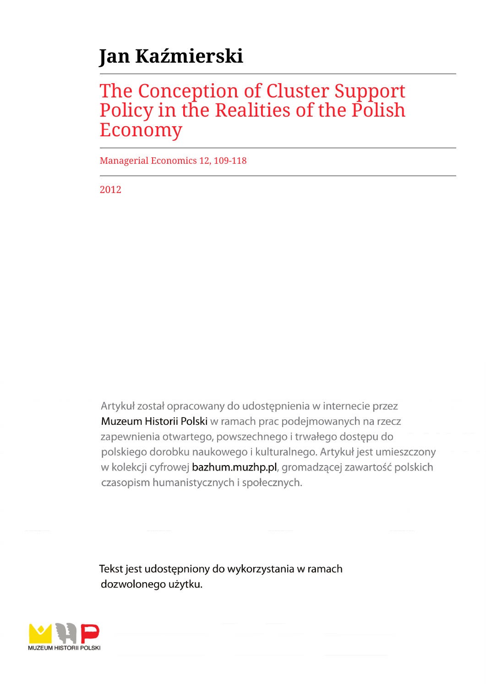# **Jan Kaźmierski**

# The Conception of Cluster Support Policy in the Realities of the Polish Economy

Managerial Economics 12, 109-118

2012

Artykuł został opracowany do udostępnienia w internecie przez Muzeum Historii Polski w ramach prac podejmowanych na rzecz zapewnienia otwartego, powszechnego i trwałego dostępu do polskiego dorobku naukowego i kulturalnego. Artykuł jest umieszczony w kolekcji cyfrowej bazhum.muzhp.pl, gromadzącej zawartość polskich czasopism humanistycznych i społecznych.

Tekst jest udostępniony do wykorzystania w ramach dozwolonego użytku.

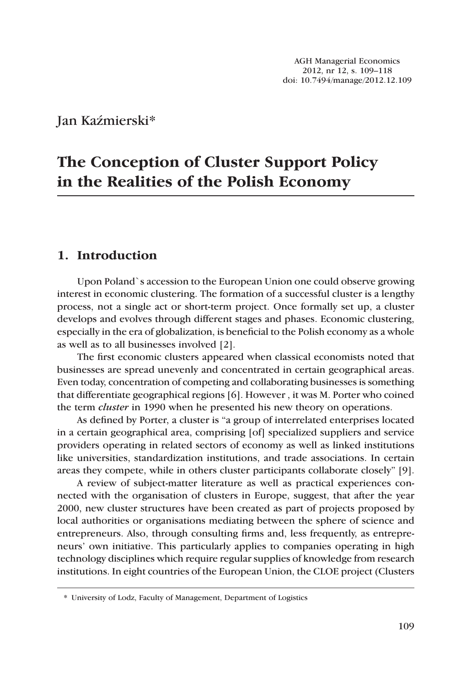Jan Kaźmierski\*

# **The Conception of Cluster Support Policy in the Realities of the Polish Economy**

### **1. Introduction**

Upon Poland`s accession to the European Union one could observe growing interest in economic clustering. The formation of a successful cluster is a lengthy process, not a single act or short-term project. Once formally set up, a cluster develops and evolves through different stages and phases. Economic clustering, especially in the era of globalization, is beneficial to the Polish economy as a whole as well as to all businesses involved [2].

The first economic clusters appeared when classical economists noted that businesses are spread unevenly and concentrated in certain geographical areas. Even today, concentration of competing and collaborating businesses is something that differentiate geographical regions [6]. However , it was M. Porter who coined the term *cluster* in 1990 when he presented his new theory on operations.

As defined by Porter, a cluster is "a group of interrelated enterprises located in a certain geographical area, comprising [of] specialized suppliers and service providers operating in related sectors of economy as well as linked institutions like universities, standardization institutions, and trade associations. In certain areas they compete, while in others cluster participants collaborate closely" [9].

A review of subject-matter literature as well as practical experiences connected with the organisation of clusters in Europe, suggest, that after the year 2000, new cluster structures have been created as part of projects proposed by local authorities or organisations mediating between the sphere of science and entrepreneurs. Also, through consulting firms and, less frequently, as entrepreneurs' own initiative. This particularly applies to companies operating in high technology disciplines which require regular supplies of knowledge from research institutions. In eight countries of the European Union, the CLOE project (Clusters

<sup>\*</sup> University of Lodz, Faculty of Management, Department of Logistics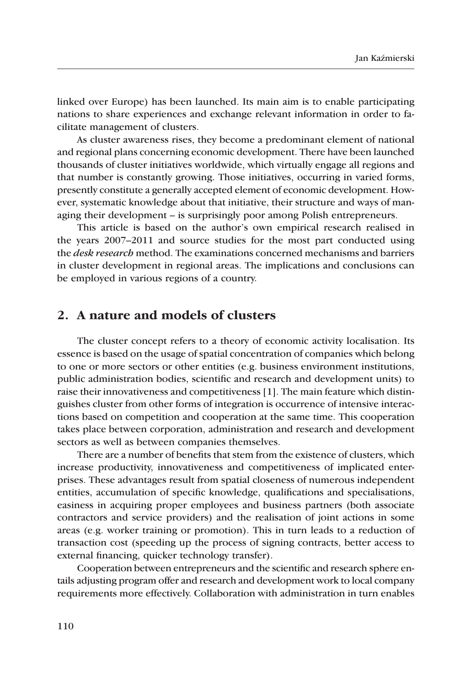linked over Europe) has been launched. Its main aim is to enable participating nations to share experiences and exchange relevant information in order to facilitate management of clusters.

As cluster awareness rises, they become a predominant element of national and regional plans concerning economic development. There have been launched thousands of cluster initiatives worldwide, which virtually engage all regions and that number is constantly growing. Those initiatives, occurring in varied forms, presently constitute a generally accepted element of economic development. However, systematic knowledge about that initiative, their structure and ways of managing their development – is surprisingly poor among Polish entrepreneurs.

This article is based on the author's own empirical research realised in the years 2007–2011 and source studies for the most part conducted using the *desk research* method. The examinations concerned mechanisms and barriers in cluster development in regional areas. The implications and conclusions can be employed in various regions of a country.

#### **2. A nature and models of clusters**

The cluster concept refers to a theory of economic activity localisation. Its essence is based on the usage of spatial concentration of companies which belong to one or more sectors or other entities (e.g. business environment institutions, public administration bodies, scientific and research and development units) to raise their innovativeness and competitiveness [1]. The main feature which distinguishes cluster from other forms of integration is occurrence of intensive interactions based on competition and cooperation at the same time. This cooperation takes place between corporation, administration and research and development sectors as well as between companies themselves.

There are a number of benefits that stem from the existence of clusters, which increase productivity, innovativeness and competitiveness of implicated enterprises. These advantages result from spatial closeness of numerous independent entities, accumulation of specific knowledge, qualifications and specialisations, easiness in acquiring proper employees and business partners (both associate contractors and service providers) and the realisation of joint actions in some areas (e.g. worker training or promotion). This in turn leads to a reduction of transaction cost (speeding up the process of signing contracts, better access to external financing, quicker technology transfer).

Cooperation between entrepreneurs and the scientific and research sphere entails adjusting program offer and research and development work to local company requirements more effectively. Collaboration with administration in turn enables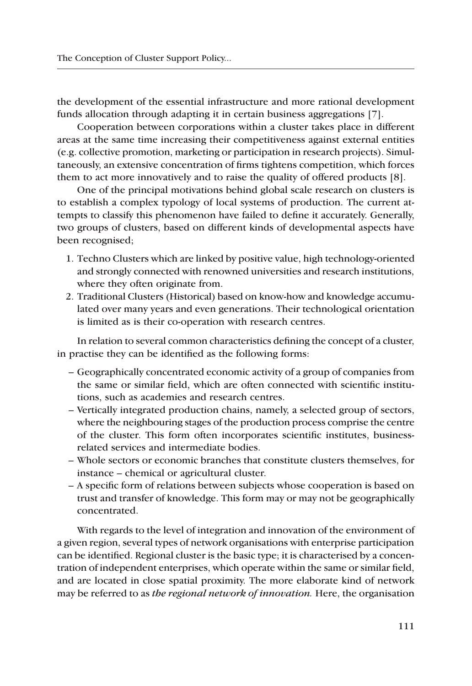the development of the essential infrastructure and more rational development funds allocation through adapting it in certain business aggregations [7].

Cooperation between corporations within a cluster takes place in different areas at the same time increasing their competitiveness against external entities (e.g. collective promotion, marketing or participation in research projects). Simultaneously, an extensive concentration of firms tightens competition, which forces them to act more innovatively and to raise the quality of offered products [8].

One of the principal motivations behind global scale research on clusters is to establish a complex typology of local systems of production. The current attempts to classify this phenomenon have failed to define it accurately. Generally, two groups of clusters, based on different kinds of developmental aspects have been recognised;

- 1. Techno Clusters which are linked by positive value, high technology-oriented and strongly connected with renowned universities and research institutions, where they often originate from.
- 2. Traditional Clusters (Historical) based on know-how and knowledge accumulated over many years and even generations. Their technological orientation is limited as is their co-operation with research centres.

In relation to several common characteristics defining the concept of a cluster, in practise they can be identified as the following forms:

- Geographically concentrated economic activity of a group of companies from the same or similar field, which are often connected with scientific institutions, such as academies and research centres.
- Vertically integrated production chains, namely, a selected group of sectors, where the neighbouring stages of the production process comprise the centre of the cluster. This form often incorporates scientific institutes, businessrelated services and intermediate bodies.
- Whole sectors or economic branches that constitute clusters themselves, for instance – chemical or agricultural cluster.
- A specific form of relations between subjects whose cooperation is based on trust and transfer of knowledge. This form may or may not be geographically concentrated.

With regards to the level of integration and innovation of the environment of a given region, several types of network organisations with enterprise participation can be identified. Regional cluster is the basic type; it is characterised by a concentration of independent enterprises, which operate within the same or similar field, and are located in close spatial proximity. The more elaborate kind of network may be referred to as *the regional network of innovation.* Here, the organisation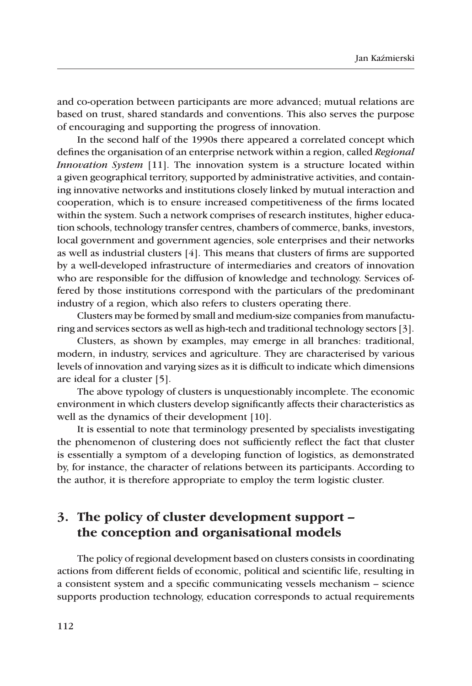and co-operation between participants are more advanced; mutual relations are based on trust, shared standards and conventions. This also serves the purpose of encouraging and supporting the progress of innovation.

In the second half of the 1990s there appeared a correlated concept which defines the organisation of an enterprise network within a region, called *Regional Innovation System* [11]. The innovation system is a structure located within a given geographical territory, supported by administrative activities, and containing innovative networks and institutions closely linked by mutual interaction and cooperation, which is to ensure increased competitiveness of the firms located within the system. Such a network comprises of research institutes, higher education schools, technology transfer centres, chambers of commerce, banks, investors, local government and government agencies, sole enterprises and their networks as well as industrial clusters [4]. This means that clusters of firms are supported by a well-developed infrastructure of intermediaries and creators of innovation who are responsible for the diffusion of knowledge and technology. Services offered by those institutions correspond with the particulars of the predominant industry of a region, which also refers to clusters operating there.

Clusters may be formed by small and medium-size companies from manufacturing and services sectors as well as high-tech and traditional technology sectors [3].

Clusters, as shown by examples, may emerge in all branches: traditional, modern, in industry, services and agriculture. They are characterised by various levels of innovation and varying sizes as it is difficult to indicate which dimensions are ideal for a cluster [5].

The above typology of clusters is unquestionably incomplete. The economic environment in which clusters develop significantly affects their characteristics as well as the dynamics of their development [10].

It is essential to note that terminology presented by specialists investigating the phenomenon of clustering does not sufficiently reflect the fact that cluster is essentially a symptom of a developing function of logistics, as demonstrated by, for instance, the character of relations between its participants. According to the author, it is therefore appropriate to employ the term logistic cluster*.*

## **3. The policy of cluster development support – the conception and organisational models**

The policy of regional development based on clusters consists in coordinating actions from different fields of economic, political and scientific life, resulting in a consistent system and a specific communicating vessels mechanism – science supports production technology, education corresponds to actual requirements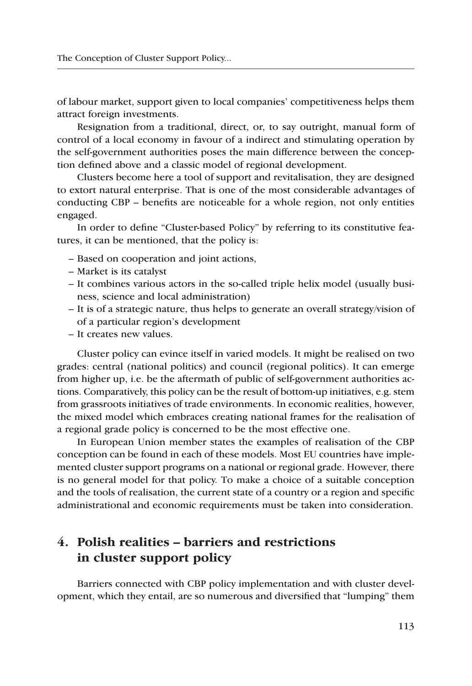of labour market, support given to local companies' competitiveness helps them attract foreign investments.

Resignation from a traditional, direct, or, to say outright, manual form of control of a local economy in favour of a indirect and stimulating operation by the self-government authorities poses the main difference between the conception defined above and a classic model of regional development.

Clusters become here a tool of support and revitalisation, they are designed to extort natural enterprise. That is one of the most considerable advantages of conducting CBP – benefits are noticeable for a whole region, not only entities engaged.

In order to define "Cluster-based Policy" by referring to its constitutive features, it can be mentioned, that the policy is:

- Based on cooperation and joint actions,
- Market is its catalyst
- It combines various actors in the so-called triple helix model (usually business, science and local administration)
- It is of a strategic nature, thus helps to generate an overall strategy/vision of of a particular region's development
- It creates new values.

Cluster policy can evince itself in varied models. It might be realised on two grades: central (national politics) and council (regional politics). It can emerge from higher up, i.e. be the aftermath of public of self-government authorities actions. Comparatively, this policy can be the result of bottom-up initiatives, e.g. stem from grassroots initiatives of trade environments. In economic realities, however, the mixed model which embraces creating national frames for the realisation of a regional grade policy is concerned to be the most effective one.

In European Union member states the examples of realisation of the CBP conception can be found in each of these models. Most EU countries have implemented cluster support programs on a national or regional grade. However, there is no general model for that policy. To make a choice of a suitable conception and the tools of realisation, the current state of a country or a region and specific administrational and economic requirements must be taken into consideration.

## **4. Polish realities – barriers and restrictions in cluster support policy**

Barriers connected with CBP policy implementation and with cluster development, which they entail, are so numerous and diversified that "lumping" them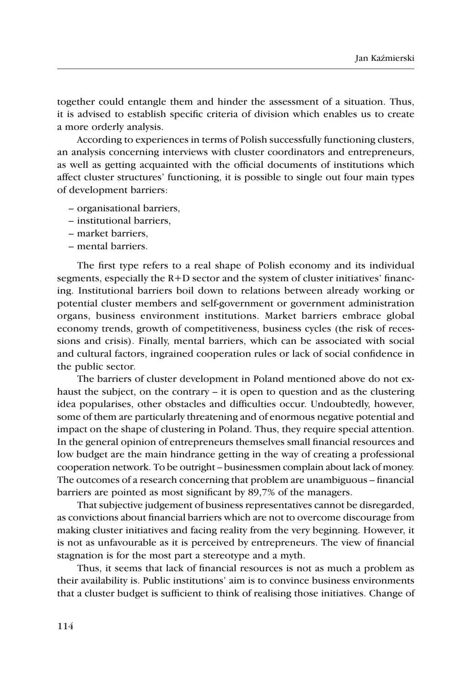together could entangle them and hinder the assessment of a situation. Thus, it is advised to establish specific criteria of division which enables us to create a more orderly analysis.

According to experiences in terms of Polish successfully functioning clusters, an analysis concerning interviews with cluster coordinators and entrepreneurs, as well as getting acquainted with the official documents of institutions which affect cluster structures' functioning, it is possible to single out four main types of development barriers:

- organisational barriers,
- institutional barriers,
- market barriers,
- mental barriers.

The first type refers to a real shape of Polish economy and its individual segments, especially the  $R+D$  sector and the system of cluster initiatives' financing. Institutional barriers boil down to relations between already working or potential cluster members and self-government or government administration organs, business environment institutions. Market barriers embrace global economy trends, growth of competitiveness, business cycles (the risk of recessions and crisis). Finally, mental barriers, which can be associated with social and cultural factors, ingrained cooperation rules or lack of social confidence in the public sector.

The barriers of cluster development in Poland mentioned above do not exhaust the subject, on the contrary – it is open to question and as the clustering idea popularises, other obstacles and difficulties occur. Undoubtedly, however, some of them are particularly threatening and of enormous negative potential and impact on the shape of clustering in Poland. Thus, they require special attention. In the general opinion of entrepreneurs themselves small financial resources and low budget are the main hindrance getting in the way of creating a professional cooperation network. To be outright – businessmen complain about lack of money. The outcomes of a research concerning that problem are unambiguous – financial barriers are pointed as most significant by 89,7% of the managers.

That subjective judgement of business representatives cannot be disregarded, as convictions about financial barriers which are not to overcome discourage from making cluster initiatives and facing reality from the very beginning. However, it is not as unfavourable as it is perceived by entrepreneurs. The view of financial stagnation is for the most part a stereotype and a myth.

Thus, it seems that lack of financial resources is not as much a problem as their availability is. Public institutions' aim is to convince business environments that a cluster budget is sufficient to think of realising those initiatives. Change of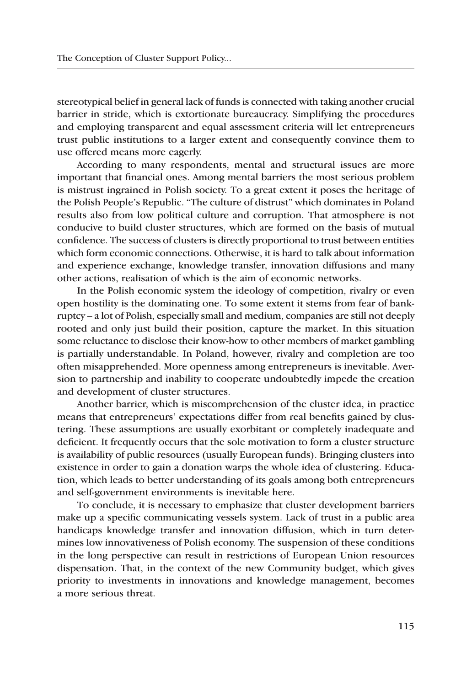stereotypical belief in general lack of funds is connected with taking another crucial barrier in stride, which is extortionate bureaucracy. Simplifying the procedures and employing transparent and equal assessment criteria will let entrepreneurs trust public institutions to a larger extent and consequently convince them to use offered means more eagerly.

According to many respondents, mental and structural issues are more important that financial ones. Among mental barriers the most serious problem is mistrust ingrained in Polish society. To a great extent it poses the heritage of the Polish People's Republic. "The culture of distrust" which dominates in Poland results also from low political culture and corruption. That atmosphere is not conducive to build cluster structures, which are formed on the basis of mutual confidence. The success of clusters is directly proportional to trust between entities which form economic connections. Otherwise, it is hard to talk about information and experience exchange, knowledge transfer, innovation diffusions and many other actions, realisation of which is the aim of economic networks.

In the Polish economic system the ideology of competition, rivalry or even open hostility is the dominating one. To some extent it stems from fear of bankruptcy – a lot of Polish, especially small and medium, companies are still not deeply rooted and only just build their position, capture the market. In this situation some reluctance to disclose their know-how to other members of market gambling is partially understandable. In Poland, however, rivalry and completion are too often misapprehended. More openness among entrepreneurs is inevitable. Aversion to partnership and inability to cooperate undoubtedly impede the creation and development of cluster structures.

Another barrier, which is miscomprehension of the cluster idea, in practice means that entrepreneurs' expectations differ from real benefits gained by clustering. These assumptions are usually exorbitant or completely inadequate and deficient. It frequently occurs that the sole motivation to form a cluster structure is availability of public resources (usually European funds). Bringing clusters into existence in order to gain a donation warps the whole idea of clustering. Education, which leads to better understanding of its goals among both entrepreneurs and self-government environments is inevitable here.

To conclude, it is necessary to emphasize that cluster development barriers make up a specific communicating vessels system. Lack of trust in a public area handicaps knowledge transfer and innovation diffusion, which in turn determines low innovativeness of Polish economy. The suspension of these conditions in the long perspective can result in restrictions of European Union resources dispensation. That, in the context of the new Community budget, which gives priority to investments in innovations and knowledge management, becomes a more serious threat.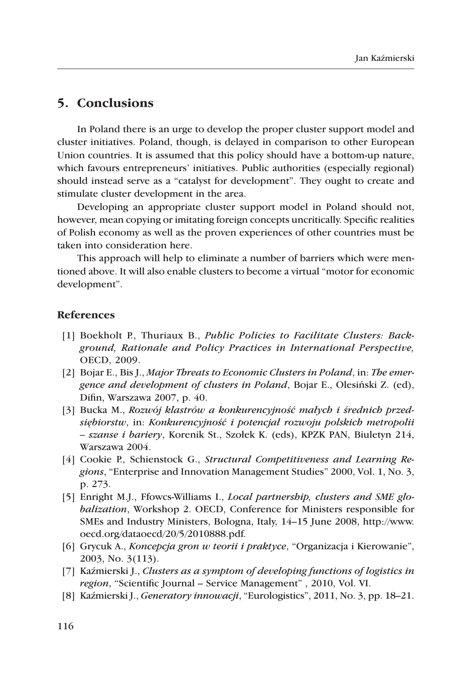#### **5. Conclusions**

In Poland there is an urge to develop the proper cluster support model and cluster initiatives. Poland, though, is delayed in comparison to other European Union countries. It is assumed that this policy should have a bottom-up nature, which favours entrepreneurs' initiatives. Public authorities (especially regional) should instead serve as a "catalyst for development". They ought to create and stimulate cluster development in the area.

Developing an appropriate cluster support model in Poland should not, however, mean copying or imitating foreign concepts uncritically. Specific realities of Polish economy as well as the proven experiences of other countries must be taken into consideration here.

This approach will help to eliminate a number of barriers which were mentioned above. It will also enable clusters to become a virtual "motor for economic development".

#### **References**

- [1] Boekholt P., Thuriaux B., *Public Policies to Facilitate Clusters: Background, Rationale and Policy Practices in International Perspective,*  OECD, 2009.
- [2] Bojar E., Bis J., *Major Threats to Economic Clusters in Poland*, in: *The emergence and development of clusters in Poland*, Bojar E., Olesiński Z. (ed), Difin, Warszawa 2007, p. 40.
- [3] Bucka M., *Rozwój klastrów a konkurencyjność małych i średnich przedsiębiorstw*, in: *Konkurencyjność i potencjał rozwoju polskich metropolii – szanse i bariery*, Korenik St., Szołek K. (eds), KPZK PAN, Biuletyn 214, Warszawa 2004.
- [4] Cookie P., Schienstock G., *Structural Competitiveness and Learning Regions*, "Enterprise and Innovation Management Studies" 2000, Vol. 1, No. 3, p. 273.
- [5] Enright M.J., Ffowcs-Williams I., *Local partnership, clusters and SME globalization*, Workshop 2. OECD, Conference for Ministers responsible for SMEs and Industry Ministers, Bologna, Italy, 14–15 June 2008, http://www. oecd.org/dataoecd/20/5/2010888.pdf.
- [6] Grycuk A., *Koncepcja gron w teorii i praktyce*, "Organizacja i Kierowanie", 2003, No. 3(113).
- [7] Kaźmierski J., *Clusters as a symptom of developing functions of logistics in region*, "Scientific Journal – Service Management" , 2010, Vol. VI.
- [8] Kaźmierski J., *Generatory innowacji*, "Eurologistics", 2011, No. 3, pp. 18–21.